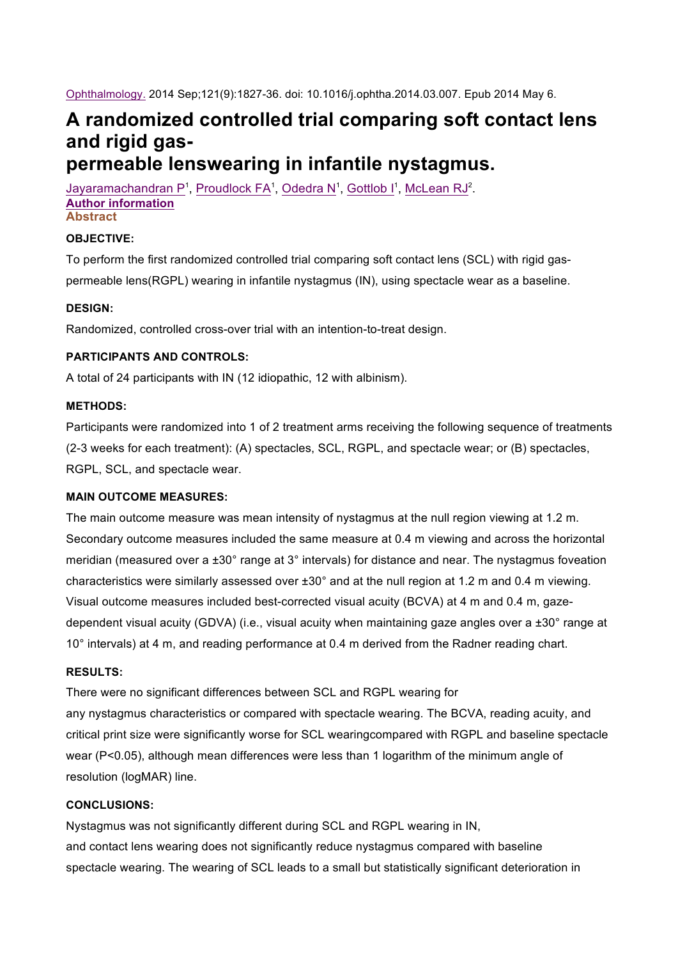Ophthalmology. 2014 Sep;121(9):1827-36. doi: 10.1016/j.ophtha.2014.03.007. Epub 2014 May 6.

# **A randomized controlled trial comparing soft contact lens and rigid gaspermeable lenswearing in infantile nystagmus.**

Jayaramachandran P<sup>1</sup>, Proudlock FA<sup>1</sup>, Odedra N<sup>1</sup>, Gottlob I<sup>1</sup>, McLean RJ<sup>2</sup>. **Author information Abstract**

## **OBJECTIVE:**

To perform the first randomized controlled trial comparing soft contact lens (SCL) with rigid gaspermeable lens(RGPL) wearing in infantile nystagmus (IN), using spectacle wear as a baseline.

#### **DESIGN:**

Randomized, controlled cross-over trial with an intention-to-treat design.

## **PARTICIPANTS AND CONTROLS:**

A total of 24 participants with IN (12 idiopathic, 12 with albinism).

## **METHODS:**

Participants were randomized into 1 of 2 treatment arms receiving the following sequence of treatments (2-3 weeks for each treatment): (A) spectacles, SCL, RGPL, and spectacle wear; or (B) spectacles, RGPL, SCL, and spectacle wear.

#### **MAIN OUTCOME MEASURES:**

The main outcome measure was mean intensity of nystagmus at the null region viewing at 1.2 m. Secondary outcome measures included the same measure at 0.4 m viewing and across the horizontal meridian (measured over a  $\pm 30^{\circ}$  range at 3° intervals) for distance and near. The nystagmus foveation characteristics were similarly assessed over ±30° and at the null region at 1.2 m and 0.4 m viewing. Visual outcome measures included best-corrected visual acuity (BCVA) at 4 m and 0.4 m, gazedependent visual acuity (GDVA) (i.e., visual acuity when maintaining gaze angles over a ±30° range at 10° intervals) at 4 m, and reading performance at 0.4 m derived from the Radner reading chart.

#### **RESULTS:**

There were no significant differences between SCL and RGPL wearing for any nystagmus characteristics or compared with spectacle wearing. The BCVA, reading acuity, and critical print size were significantly worse for SCL wearingcompared with RGPL and baseline spectacle wear (P<0.05), although mean differences were less than 1 logarithm of the minimum angle of resolution (logMAR) line.

## **CONCLUSIONS:**

Nystagmus was not significantly different during SCL and RGPL wearing in IN, and contact lens wearing does not significantly reduce nystagmus compared with baseline spectacle wearing. The wearing of SCL leads to a small but statistically significant deterioration in